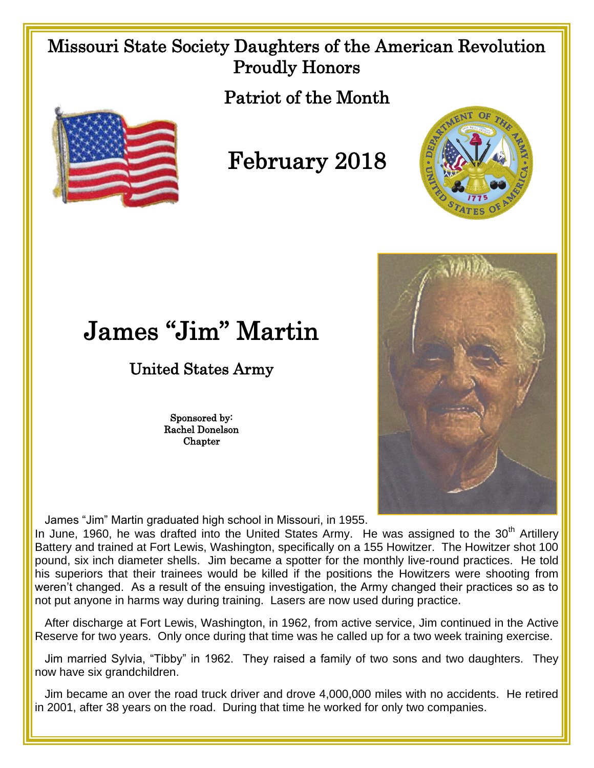## Missouri State Society Daughters of the American Revolution Proudly Honors

Patriot of the Month



## February 2018





## James "Jim" Martin

## United States Army

Sponsored by: Rachel Donelson Chapter

James "Jim" Martin graduated high school in Missouri, in 1955.

In June, 1960, he was drafted into the United States Army. He was assigned to the 30<sup>th</sup> Artillery Battery and trained at Fort Lewis, Washington, specifically on a 155 Howitzer. The Howitzer shot 100 pound, six inch diameter shells. Jim became a spotter for the monthly live-round practices. He told his superiors that their trainees would be killed if the positions the Howitzers were shooting from weren't changed. As a result of the ensuing investigation, the Army changed their practices so as to not put anyone in harms way during training. Lasers are now used during practice.

After discharge at Fort Lewis, Washington, in 1962, from active service, Jim continued in the Active Reserve for two years. Only once during that time was he called up for a two week training exercise.

 Jim married Sylvia, "Tibby" in 1962. They raised a family of two sons and two daughters. They now have six grandchildren.

Jim became an over the road truck driver and drove 4,000,000 miles with no accidents. He retired in 2001, after 38 years on the road. During that time he worked for only two companies.